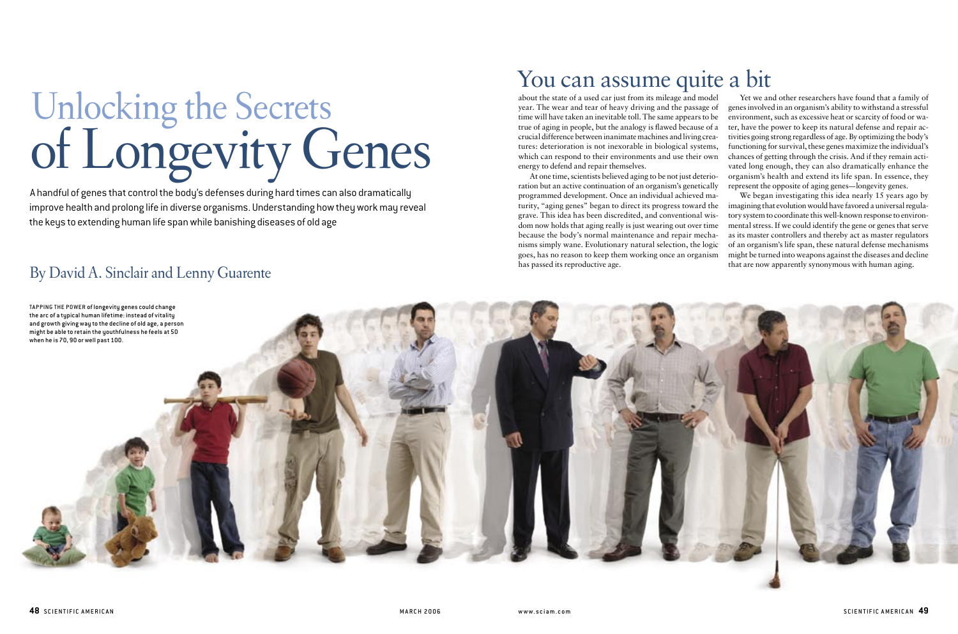# Unlocking the Secrets of Longevity Genes

A handful of genes that control the body's defenses during hard times can also dramatically improve health and prolong life in diverse organisms. Understanding how they work may reveal the keys to extending human life span while banishing diseases of old age

# By David A. Sinclair and Lenny Guarente

TAPPING THE POWER of longevity genes could change the arc of a typical human lifetime: instead of vitality and growth giving way to the decline of old age, a person might be able to retain the youthfulness he feels at 50

when he is 70, 90 or well past 100.

programmed development. Once an individual achieved ma-

about the state of a used car just from its mileage and model year. The wear and tear of heavy driving and the passage of time will have taken an inevitable toll. The same appears to be true of aging in people, but the analogy is flawed because of a crucial difference between inanimate machines and living creatures: deterioration is not inexorable in biological systems, which can respond to their environments and use their own energy to defend and repair themselves. At one time, scientists believed aging to be not just deterioration but an active continuation of an organism's genetically Yet we and other researchers have found that a family of genes involved in an organism's ability to withstand a stressful environment, such as excessive heat or scarcity of food or water, have the power to keep its natural defense and repair activities going strong regardless of age. By optimizing the body's functioning for survival, these genes maximize the individual's chances of getting through the crisis. And if they remain activated long enough, they can also dramatically enhance the organism's health and extend its life span. In essence, they represent the opposite of aging genes—longevity genes.

turity, "aging genes" began to direct its progress toward the grave. This idea has been discredited, and conventional wisdom now holds that aging really is just wearing out over time because the body's normal maintenance and repair mechanisms simply wane. Evolutionary natural selection, the logic goes, has no reason to keep them working once an organism has passed its reproductive age. We began investigating this idea nearly 15 years ago by imagining that evolution would have favored a universal regulatory system to coordinate this well-known response to environmental stress. If we could identify the gene or genes that serve as its master controllers and thereby act as master regulators of an organism's life span, these natural defense mechanisms might be turned into weapons against the diseases and decline that are now apparently synonymous with human aging.





# You can assume quite a bit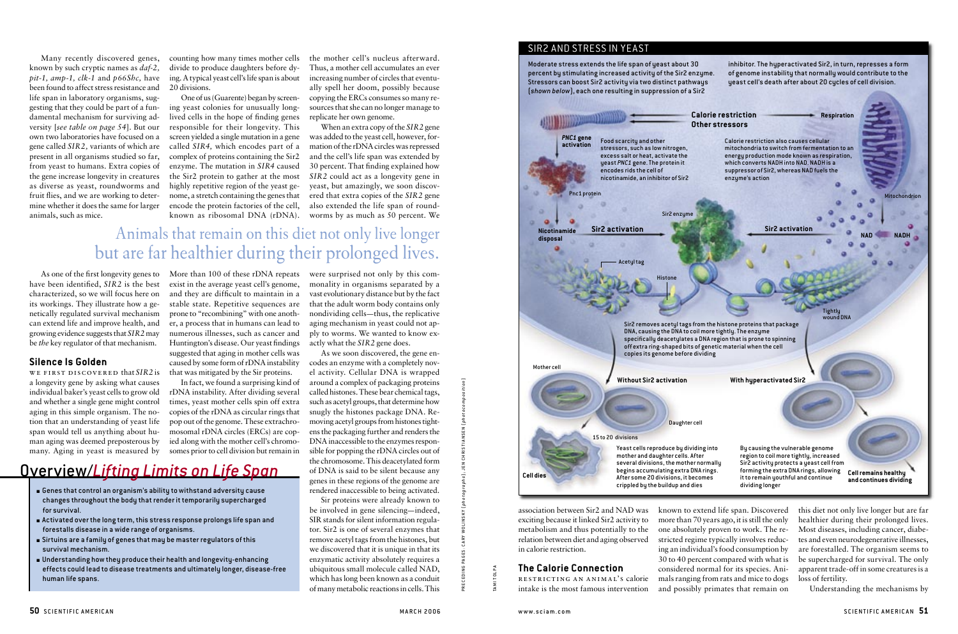## SIR2 AND STRESS IN YEAST

Many recently discovered genes, known by such cryptic names as *daf-2, pit-1, amp-1, clk-1* and *p66Shc,* have been found to affect stress resistance and life span in laboratory organisms, suggesting that they could be part of a fundamental mechanism for surviving adversity [*see table on page 54*]. But our own two laboratories have focused on a gene called *SIR2,* variants of which are present in all organisms studied so far, from yeast to humans. Extra copies of the gene increase longevity in creatures as diverse as yeast, roundworms and fruit flies, and we are working to determine whether it does the same for larger animals, such as mice.

have been identified, *SIR2* is the best characterized, so we will focus here on its workings. They illustrate how a genetically regulated survival mechanism can extend life and improve health, and growing evidence suggests that *SIR2* may be *the* key regulator of that mechanism.

### **Silence Is Golden**

we first discovered that *SIR2* is a longevity gene by asking what causes individual baker's yeast cells to grow old and whether a single gene might control aging in this simple organism. The notion that an understanding of yeast life span would tell us anything about human aging was deemed preposterous by many. Aging in yeast is measured by

counting how many times mother cells divide to produce daughters before dying. A typical yeast cell's life span is about 20 divisions.

As one of the first longevity genes to More than 100 of these rDNA repeats were surprised not only by this comexist in the average yeast cell's genome, and they are difficult to maintain in a stable state. Repetitive sequences are prone to "recombining" with one another, a process that in humans can lead to numerous illnesses, such as cancer and Huntington's disease. Our yeast findings suggested that aging in mother cells was caused by some form of rDNA instability that was mitigated by the Sir proteins.

One of us (Guarente) began by screening yeast colonies for unusually longlived cells in the hope of finding genes responsible for their longevity. This screen yielded a single mutation in a gene called *SIR4,* which encodes part of a complex of proteins containing the Sir2 enzyme. The mutation in *SIR4* caused the Sir2 protein to gather at the most highly repetitive region of the yeast genome, a stretch containing the genes that encode the protein factories of the cell, known as ribosomal DNA (rDNA). worms by as much as 50 percent. We

In fact, we found a surprising kind of rDNA instability. After dividing several times, yeast mother cells spin off extra copies of the rDNA as circular rings that pop out of the genome. These extrachromosomal rDNA circles (ERCs) are copied along with the mother cell's chromosomes prior to cell division but remain in

the mother cell's nucleus afterward. Thus, a mother cell accumulates an ever increasing number of circles that eventually spell her doom, possibly because copying the ERCs consumes so many resources that she can no longer manage to replicate her own genome.

When an extra copy of the *SIR2* gene was added to the yeast cell, however, formation of the rDNA circles was repressed and the cell's life span was extended by 30 percent. That finding explained how *SIR2* could act as a longevity gene in yeast, but amazingly, we soon discovered that extra copies of the *SIR2* gene also extended the life span of round-

monality in organisms separated by a vast evolutionary distance but by the fact that the adult worm body contains only nondividing cells—thus, the replicative aging mechanism in yeast could not apply to worms. We wanted to know exactly what the *SIR2* gene does.

As we soon discovered, the gene encodes an enzyme with a completely novel activity. Cellular DNA is wrapped around a complex of packaging proteins called histones. These bear chemical tags, such as acetyl groups, that determine how snugly the histones package DNA. Removing acetyl groups from histones tightens the packaging further and renders the DNA inaccessible to the enzymes responsible for popping the rDNA circles out of the chromosome. This deacetylated form of DNA is said to be silent because any genes in these regions of the genome are rendered inaccessible to being activated.

Sir proteins were already known to be involved in gene silencing—indeed, SIR stands for silent information regulator. Sir2 is one of several enzymes that remove acetyl tags from the histones, but we discovered that it is unique in that its enzymatic activity absolutely requires a ubiquitous small molecule called NAD, which has long been known as a conduit of many metabolic reactions in cells. This

- Genes that control an organism's ability to withstand adversity cause changes throughout the body that render it temporarily supercharged for survival.
- Activated over the long term, this stress response prolongs life span and forestalls disease in a wide range of organisms.
- Sirtuins are a family of genes that may be master regulators of this survival mechanism.
- $\blacksquare$  Understanding how they produce their health and longevity-enhancing effects could lead to disease treatments and ultimately longer, disease-free human life spans.

Overview/*Lifting Limits on Life Span*

association between Sir2 and NAD was exciting because it linked Sir2 activity to metabolism and thus potentially to the relation between diet and aging observed in calorie restriction.

## **The Calorie Connection**

restricting a n a nimal's calorie intake is the most famous intervention

known to extend life span. Discovered more than 70 years ago, it is still the only one absolutely proven to work. The restricted regime typically involves reducing an individual's food consumption by 30 to 40 percent compared with what is considered normal for its species. Animals ranging from rats and mice to dogs and possibly primates that remain on

PRECEDING PAGES: CARY WOLINSKY (*photographs* ) ; JEN CHRISTIANSEN (*photocomposition*)

TOLPA T A M I T O L P A $\overline{M}$ 

this diet not only live longer but are far healthier during their prolonged lives. Most diseases, including cancer, diabetes and even neurodegenerative illnesses, are forestalled. The organism seems to be supercharged for survival. The only apparent trade-off in some creatures is a loss of fertility.

Understanding the mechanisms by

Moderate stress extends the life span of yeast about 30 percent by stimulating increased activity of the Sir2 enzyme. Stressors can boost Sir2 activity via two distinct pathways (*shown below*), each one resulting in suppression of a Sir2

inhibitor. The hyperactivated Sir2, in turn, represses a form of genome instability that normally would contribute to the yeast cell's death after about 20 cycles of cell division.



# Animals that remain on this diet not only live longer but are far healthier during their prolonged lives.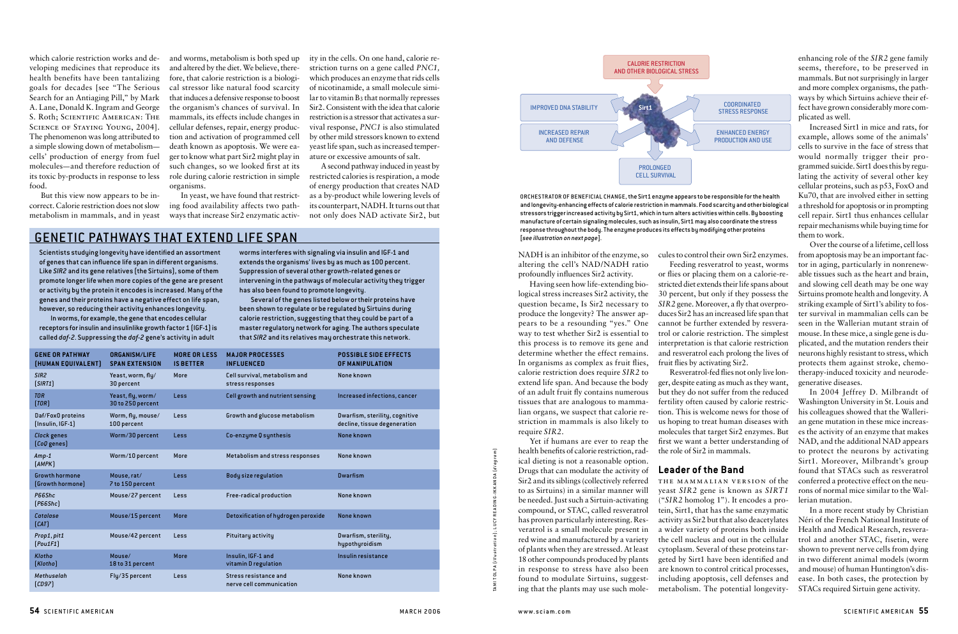altering the cell's NAD/NADH ratio profoundly influences Sir2 activity.

Having seen how life-extending biological stress increases Sir2 activity, the question became, Is Sir2 necessary to produce the longevity? The answer appears to be a resounding "yes." One way to test whether Sir2 is essential to this process is to remove its gene and determine whether the effect remains. In organisms as complex as fruit flies, calorie restriction does require *SIR2* to extend life span. And because the body of an adult fruit fly contains numerous tissues that are analogous to mammalian organs, we suspect that calorie restriction in mammals is also likely to require *SIR2*.

NADH is an inhibitor of the enzyme, so cules to control their own Sir2 enzymes. Feeding resveratrol to yeast, worms or flies or placing them on a calorie-restricted diet extends their life spans about 30 percent, but only if they possess the *SIR2* gene. Moreover, a fly that overproduces Sir2 has an increased life span that cannot be further extended by resveratrol or calorie restriction. The simplest interpretation is that calorie restriction and resveratrol each prolong the lives of fruit flies by activating Sir2*.* 

Yet if humans are ever to reap the health benefits of calorie restriction, radical dieting is not a reasonable option. Drugs that can modulate the activity of Sir2 and its siblings (collectively referred to as Sirtuins) in a similar manner will be needed. Just such a Sirtuin-activating compound, or STAC, called resveratrol has proven particularly interesting. Resveratrol is a small molecule present in red wine and manufactured by a variety of plants when they are stressed. At least 18 other compounds produced by plants in response to stress have also been found to modulate Sirtuins, suggesting that the plants may use such mole-

THE MAMMALIAN VERSION of the yeast *SIR2* gene is known as *SIRT1* ("*SIR2* homolog 1"). It encodes a protein, Sirt1, that has the same enzymatic activity as Sir2 but that also deacetylates a wider variety of proteins both inside the cell nucleus and out in the cellular cytoplasm. Several of these proteins targeted by Sirt1 have been identified and are known to control critical processes, including apoptosis, cell defenses and metabolism. The potential longevity-

TA MI TOLPA(i/lustration); LUCY READING-IKKANDA(diagram)

TOLPA [//

 $\overline{M}$ 

READING-

IKKANDA *[diagr* 

Resveratrol-fed flies not only live longer, despite eating as much as they want, but they do not suffer from the reduced fertility often caused by calorie restriction. This is welcome news for those of us hoping to treat human diseases with molecules that target Sir2 enzymes. But first we want a better understanding of the role of Sir2 in mammals.

## **Leader of the Band**

enhancing role of the *SIR2* gene family seems, therefore, to be preserved in mammals. But not surprisingly in larger and more complex organisms, the pathways by which Sirtuins achieve their effect have grown considerably more complicated as well.

Increased Sirt1 in mice and rats, for example, allows some of the animals' cells to survive in the face of stress that would normally trigger their programmed suicide. Sirt1 does this by regulating the activity of several other key cellular proteins, such as p53, FoxO and Ku70, that are involved either in setting a threshold for apoptosis or in prompting cell repair. Sirt1 thus enhances cellular repair mechanisms while buying time for them to work.

Over the course of a lifetime, cell loss from apoptosis may be an important factor in aging, particularly in nonrenewable tissues such as the heart and brain, and slowing cell death may be one way Sirtuins promote health and longevity. A striking example of Sirt1's ability to foster survival in mammalian cells can be seen in the Wallerian mutant strain of mouse. In these mice, a single gene is duplicated, and the mutation renders their neurons highly resistant to stress, which protects them against stroke, chemotherapy-induced toxicity and neurodegenerative diseases.

they trigger has also been found to promote longevity. In worms, for example, the gene that encodes cellular m worms, for example, the gene that encodes cendiaries is a caloric restriction, suggesting that they codid be<br>receptors for insulin and insulinlike growth factor 1 (IGF-1) is master regulatory network for aging. The autho restriction, suggesting that the part of a master regulatory network for aging. The authors speculate that SIR<br>That SIR2 and its speculate that SIR2 and its speculate that SIR2 and its speculate that SIR2 and its speculate called *daf-2*. Suppressing the *daf-2* gene's activity in adult

> In 2004 Jeffrey D. Milbrandt of Washington University in St. Louis and his colleagues showed that the Wallerian gene mutation in these mice increases the activity of an enzyme that makes NAD, and the additional NAD appears to protect the neurons by activating Sirt1. Moreover, Milbrandt's group found that STACs such as resveratrol conferred a protective effect on the neurons of normal mice similar to the Wallerian mutation.

> In a more recent study by Christian Néri of the French National Institute of Health and Medical Research, resveratrol and another STAC, fisetin, were shown to prevent nerve cells from dying in two different animal models (worm and mouse) of human Huntington's disease. In both cases, the protection by STACs required Sirtuin gene activity.

which calorie restriction works and developing medicines that reproduce its health benefits have been tantalizing goals for decades [see "The Serious Search for an Antiaging Pill," by Mark A. Lane, Donald K. Ingram and George S. Roth; Scientific American: The SCIENCE OF STAYING YOUNG, 2004]. The phenomenon was long attributed to a simple slowing down of metabolism cells' production of energy from fuel molecules—and therefore reduction of its toxic by-products in response to less food.

Scientists studying longevity have identified an assortment worms interferes with signaling via insulin and IGF-1 and of genes that can influence life span in different organisms. extends the organisms' lives by as much as 100 percent. promote longer life when more copies of the gene are present endancy in adult worms interference in advanced with signaling via interference in and interference via ingene<br>genes and their proteins have a negative effect on life span, Several of the genes listed below or their protei however, so reducing their activity enhances longevity.

But this view now appears to be incorrect. Calorie restriction does not slow metabolism in mammals, and in yeast

Like *SIR2* and its gene relatives (the Sirtuins), some of them Suppression of several other growth-related genes or In activity by the protein it encodes is increased. Many of the last also been found to promote longevity. In and insuling the protein it encodes is increased. Many of the last also been found to promote longevity. worms interferes with signaling via insulin and IGF-1 and extends the organisms' lives by as much as 100 percent. Suppression of several other growth-related genes or intervening in the pathways of molecular activity they trigger has also been found to promote longevity.

by and the procent. Suppression of the pathways of the pathways of the pathways of the pathways of molecular activity enhances longevity.<br>Been shown to regulate or be regulated by Sirtuins during Several of the genes listed below or their proteins have calorie restriction, suggesting that they could be part of a master regulatory network for aging. The authors speculate that *SIR2* and its relatives may orchestrate this network.

and worms, metabolism is both sped up and altered by the diet. We believe, therefore, that calorie restriction is a biological stressor like natural food scarcity that induces a defensive response to boost the organism's chances of survival. In mammals, its effects include changes in cellular defenses, repair, energy production and activation of programmed cell death known as apoptosis. We were eager to know what part Sir2 might play in such changes, so we looked first at its role during calorie restriction in simple organisms.

In yeast, we have found that restricting food availability affects two pathways that increase Sir2 enzymatic activity in the cells. On one hand, calorie restriction turns on a gene called *PNC1,* which produces an enzyme that rids cells of nicotinamide, a small molecule simi- $\ln$  to vitamin B<sub>3</sub> that normally represses Sir2. Consistent with the idea that calorie restriction is a stressor that activates a survival response, *PNC1* is also stimulated by other mild stressors known to extend yeast life span, such as increased temperature or excessive amounts of salt.

A second pathway induced in yeast by restricted calories is respiration, a mode of energy production that creates NAD as a by-product while lowering levels of its counterpart, NADH. It turns out that not only does NAD activate Sir2, but

# GENETIC PATHWAYS THAT EXTEND LIFE SPAN

| <b>GENE OR PATHWAY</b><br>(HUMAN EQUIVALENT) | <b>ORGANISM/LIFE</b><br><b>SPAN EXTENSION</b> | <b>MORE OR LESS</b><br><b>IS BETTER</b> | <b>MAJOR PROCESSES</b><br><b>INFLUENCED</b>       | <b>POSSIBLE SIDE EFFECTS</b><br><b>OF MANIPULATION</b>         |
|----------------------------------------------|-----------------------------------------------|-----------------------------------------|---------------------------------------------------|----------------------------------------------------------------|
| SIR <sub>2</sub><br>(SIRT1)                  | Yeast, worm, fly/<br>30 percent               | More                                    | Cell survival, metabolism and<br>stress responses | None known                                                     |
| <b>TOR</b><br>[TOR]                          | Yeast, fly, worm/<br>30 to 250 percent        | Less                                    | Cell growth and nutrient sensing                  | Increased infections, cancer                                   |
| Daf/FoxO proteins<br>[Insulin, IGF-1]        | Worm, fly, mouse/<br>100 percent              | Less                                    | Growth and glucose metabolism                     | Dwarfism, sterility, cognitive<br>decline, tissue degeneration |
| Clock genes<br>$[CoQ$ genes]                 | Worm/30 percent                               | Less                                    | Co-enzyme Q synthesis                             | None known                                                     |
| $Amp-1$<br>[AMPK]                            | Worm/10 percent                               | More                                    | Metabolism and stress responses                   | None known                                                     |
| <b>Growth hormone</b><br>(Growth hormone)    | Mouse, rat/<br>7 to 150 percent               | Less                                    | <b>Body size regulation</b>                       | <b>Dwarfism</b>                                                |
| P66Shc<br>[P66Shc]                           | Mouse/27 percent                              | Less                                    | Free-radical production                           | None known                                                     |
| Catalase<br>[CAT]                            | Mouse/15 percent                              | More                                    | Detoxification of hydrogen peroxide               | None known                                                     |
| Prop1, pit1<br>[PaulF1]                      | Mouse/42 percent                              | Less                                    | Pituitary activity                                | Dwarfism, sterility,<br>hypothyroidism                         |
| <b>Klotho</b><br>[Klotho]                    | Mouse/<br>18 to 31 percent                    | More                                    | Insulin, IGF-1 and<br>vitamin D regulation        | Insulin resistance                                             |
| Methuselah<br>[CD97]                         | Fly/35 percent                                | Less                                    | Stress resistance and<br>nerve cell communication | None known                                                     |

STRESS RESPONSE



#### ENHANCED ENERGY PRODUCTION AND USE

ORCHESTRATOR OF BENEFICIAL CHANGE, the Sirt1 enzyme appears to be responsible for the health and longevity-enhancing effects of calorie restriction in mammals. Food scarcity and other biological stressors trigger increased activity by Sirt1, which in turn alters activities within cells. By boosting manufacture of certain signaling molecules, such as insulin, Sirt1 may also coordinate the stress response throughout the body. The enzyme produces its effects by modifying other proteins [*see illustration on next page*].